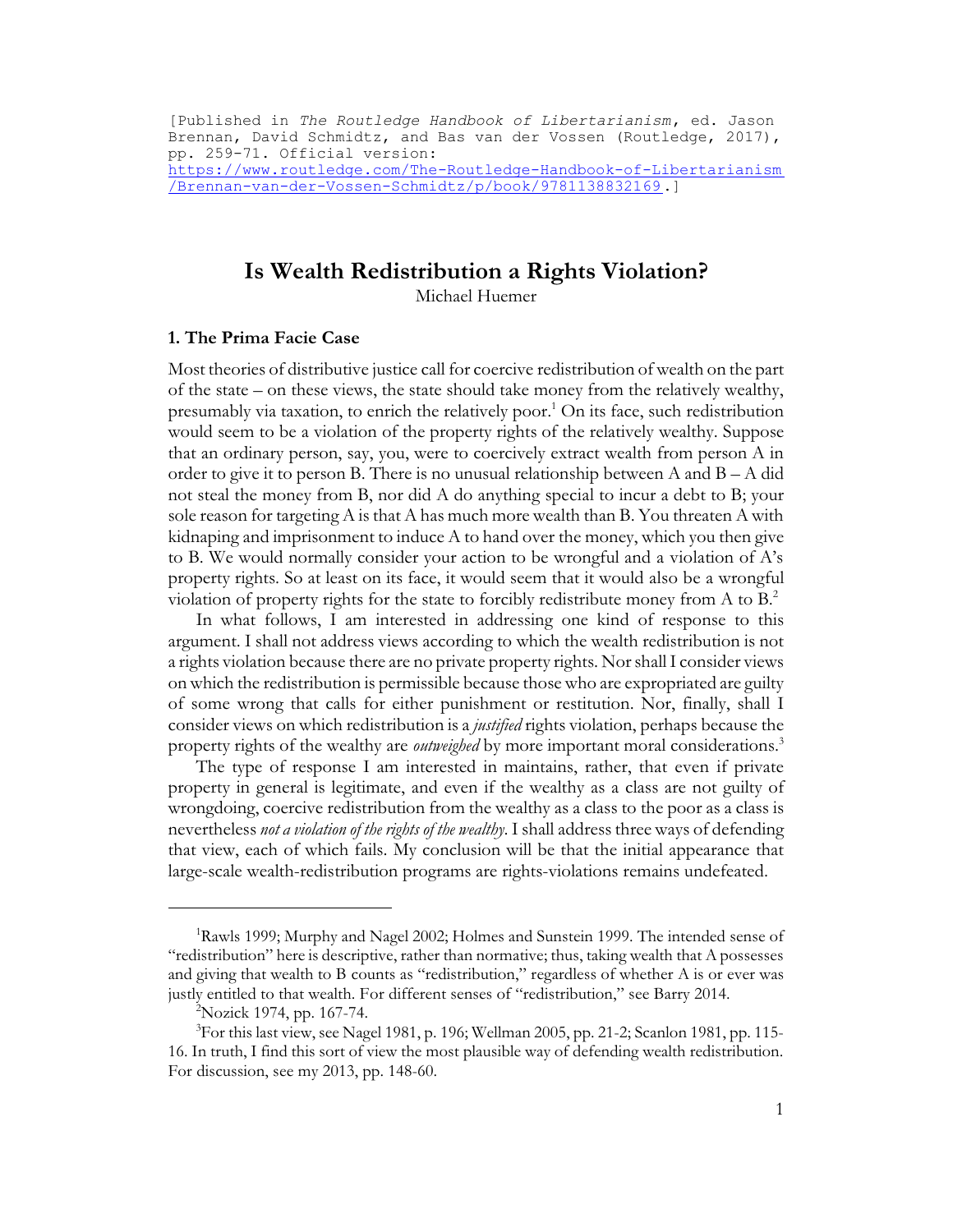[Published in *The Routledge Handbook of Libertarianism*, ed. Jason Brennan, David Schmidtz, and Bas van der Vossen (Routledge, 2017), pp. 259-71. Official version: [https://www.routledge.com/The-Routledge-Handbook-of-Libertarianism](https://www.routledge.com/The-Routledge-Handbook-of-Libertarianism/Brennan-van-der-Vossen-Schmidtz/p/book/9781138832169) [/Brennan-van-der-Vossen-Schmidtz/p/book/9781138832169](https://www.routledge.com/The-Routledge-Handbook-of-Libertarianism/Brennan-van-der-Vossen-Schmidtz/p/book/9781138832169).]

# **Is Wealth Redistribution a Rights Violation?**

Michael Huemer

## **1. The Prima Facie Case**

Most theories of distributive justice call for coercive redistribution of wealth on the part of the state – on these views, the state should take money from the relatively wealthy, presumably via taxation, to enrich the relatively poor.<sup>1</sup> On its face, such redistribution would seem to be a violation of the property rights of the relatively wealthy. Suppose that an ordinary person, say, you, were to coercively extract wealth from person A in order to give it to person B. There is no unusual relationship between A and  $B - A$  did not steal the money from B, nor did A do anything special to incur a debt to B; your sole reason for targeting A is that A has much more wealth than B. You threaten A with kidnaping and imprisonment to induce A to hand over the money, which you then give to B. We would normally consider your action to be wrongful and a violation of A's property rights. So at least on its face, it would seem that it would also be a wrongful violation of property rights for the state to forcibly redistribute money from A to  $B^2$ .

In what follows, I am interested in addressing one kind of response to this argument. I shall not address views according to which the wealth redistribution is not a rights violation because there are no private property rights. Nor shall I consider views on which the redistribution is permissible because those who are expropriated are guilty of some wrong that calls for either punishment or restitution. Nor, finally, shall I consider views on which redistribution is a *justified* rights violation, perhaps because the property rights of the wealthy are *outweighed* by more important moral considerations. 3

The type of response I am interested in maintains, rather, that even if private property in general is legitimate, and even if the wealthy as a class are not guilty of wrongdoing, coercive redistribution from the wealthy as a class to the poor as a class is nevertheless *not a violation of the rights of the wealthy*. I shall addressthree ways of defending that view, each of which fails. My conclusion will be that the initial appearance that large-scale wealth-redistribution programs are rights-violations remains undefeated.

<sup>&</sup>lt;sup>1</sup>Rawls 1999; Murphy and Nagel 2002; Holmes and Sunstein 1999. The intended sense of "redistribution" here is descriptive, rather than normative; thus, taking wealth that A possesses and giving that wealth to B counts as "redistribution," regardless of whether A is or ever was justly entitled to that wealth. For different senses of "redistribution," see Barry 2014.

 $2^2$ Nozick 1974, pp. 167-74.

 $3$ For this last view, see Nagel 1981, p. 196; Wellman 2005, pp. 21-2; Scanlon 1981, pp. 115-16. In truth, I find this sort of view the most plausible way of defending wealth redistribution. For discussion, see my 2013, pp. 148-60.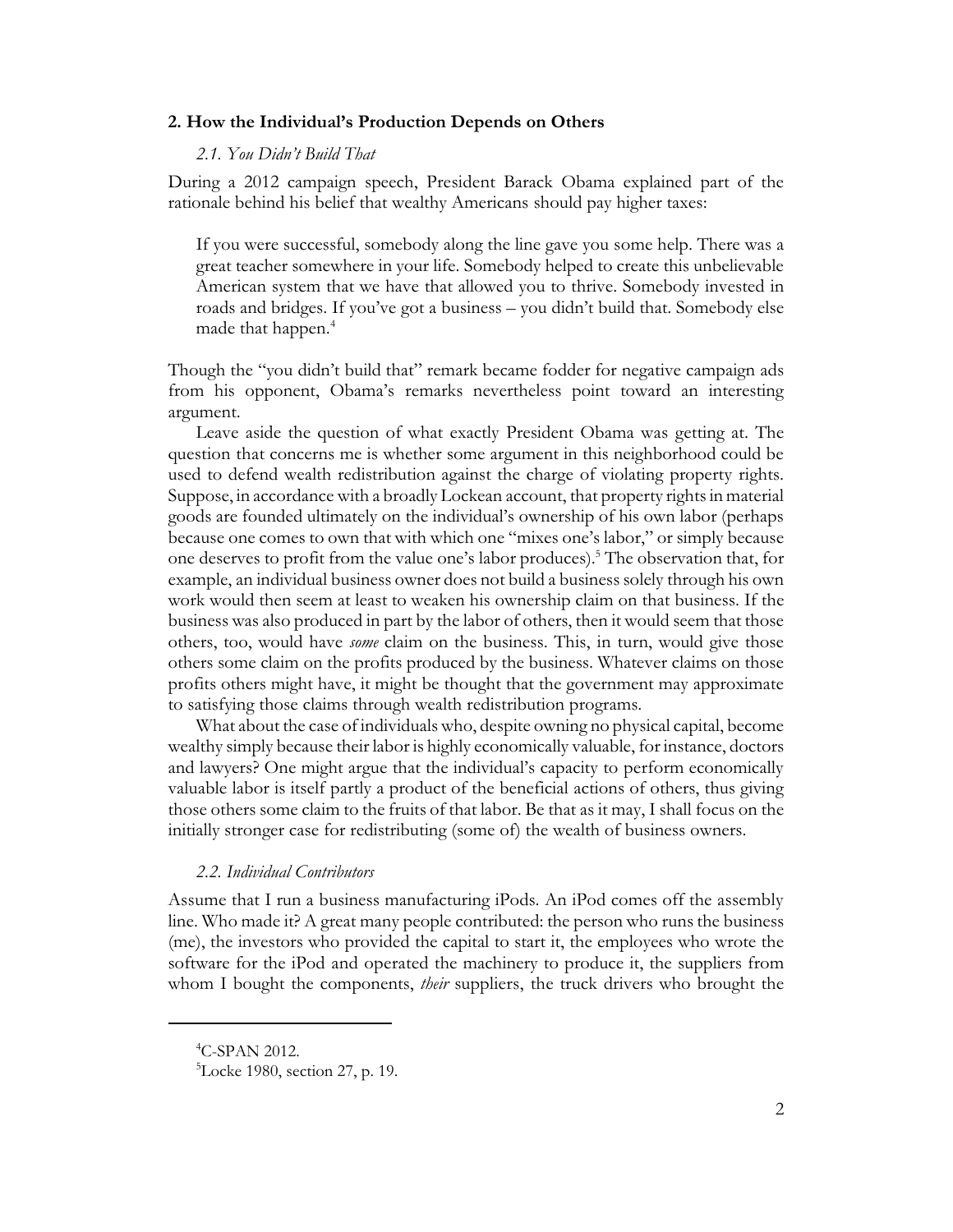#### **2. How the Individual's Production Depends on Others**

### *2.1. You Didn't Build That*

During a 2012 campaign speech, President Barack Obama explained part of the rationale behind his belief that wealthy Americans should pay higher taxes:

If you were successful, somebody along the line gave you some help. There was a great teacher somewhere in your life. Somebody helped to create this unbelievable American system that we have that allowed you to thrive. Somebody invested in roads and bridges. If you've got a business – you didn't build that. Somebody else made that happen.<sup>4</sup>

Though the "you didn't build that" remark became fodder for negative campaign ads from his opponent, Obama's remarks nevertheless point toward an interesting argument.

Leave aside the question of what exactly President Obama was getting at. The question that concerns me is whether some argument in this neighborhood could be used to defend wealth redistribution against the charge of violating property rights. Suppose, in accordance with a broadly Lockean account, that property rightsin material goods are founded ultimately on the individual's ownership of his own labor (perhaps because one comes to own that with which one "mixes one's labor," or simply because one deserves to profit from the value one's labor produces).<sup>5</sup> The observation that, for example, an individual business owner does not build a businesssolely through his own work would then seem at least to weaken his ownership claim on that business. If the business was also produced in part by the labor of others, then it would seem that those others, too, would have *some* claim on the business. This, in turn, would give those others some claim on the profits produced by the business. Whatever claims on those profits others might have, it might be thought that the government may approximate to satisfying those claims through wealth redistribution programs.

What about the case of individualswho, despite owning no physical capital, become wealthy simply because their labor is highly economically valuable, for instance, doctors and lawyers? One might argue that the individual's capacity to perform economically valuable labor is itself partly a product of the beneficial actions of others, thus giving those others some claim to the fruits of that labor. Be that as it may, I shall focus on the initially stronger case for redistributing (some of) the wealth of business owners.

## *2.2. Individual Contributors*

Assume that I run a business manufacturing iPods. An iPod comes off the assembly line. Who made it? A great many people contributed: the person who runs the business (me), the investors who provided the capital to start it, the employees who wrote the software for the iPod and operated the machinery to produce it, the suppliers from whom I bought the components, *their* suppliers, the truck drivers who brought the

 $\mathrm{^4C}\text{-SPAN}$  2012.

<sup>5</sup>Locke 1980, section 27, p. 19.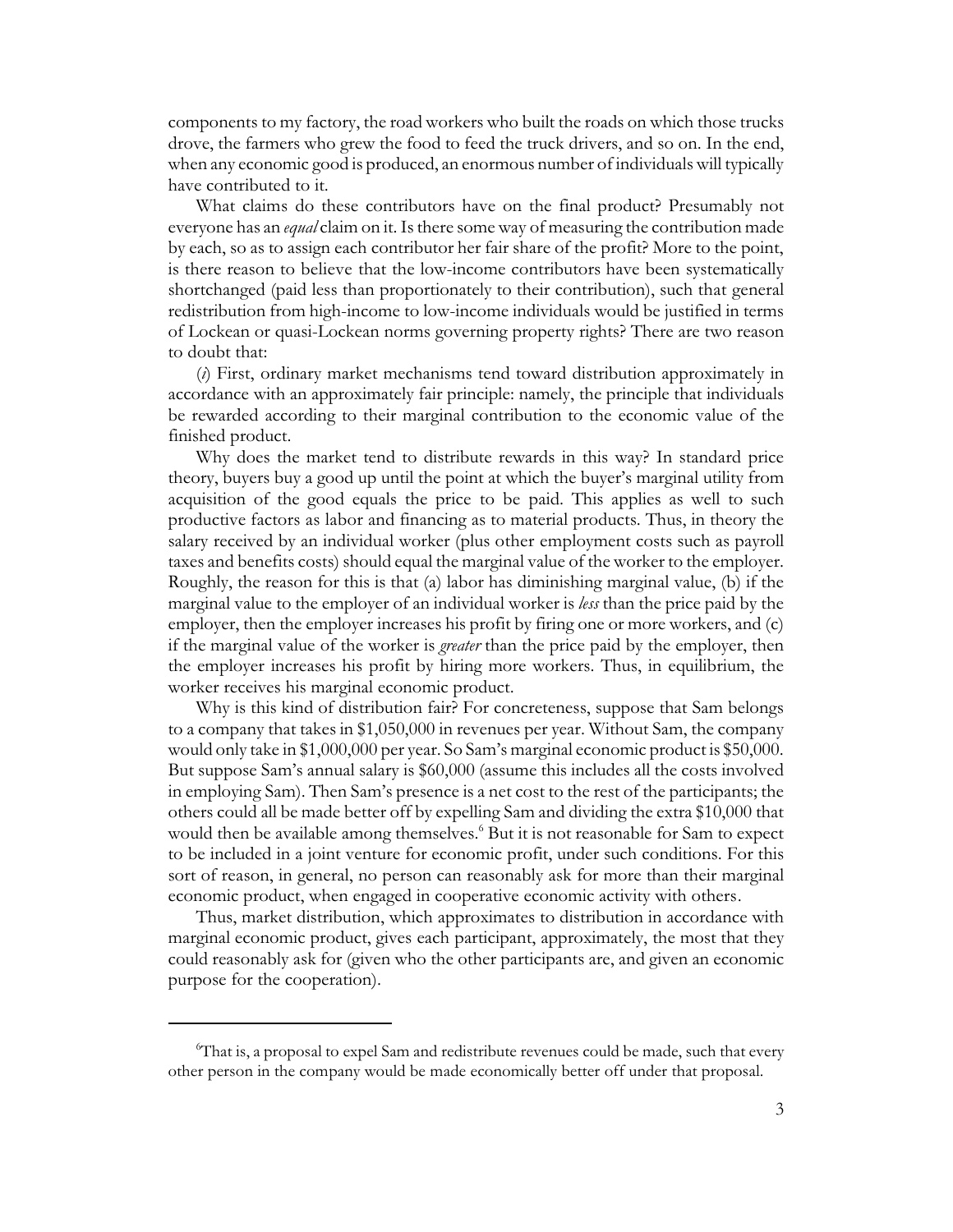components to my factory, the road workers who built the roads on which those trucks drove, the farmers who grew the food to feed the truck drivers, and so on. In the end, when any economic good is produced, an enormous number of individuals will typically have contributed to it.

What claims do these contributors have on the final product? Presumably not everyone has an *equal* claim on it. Is there some way of measuring the contribution made by each, so as to assign each contributor her fair share of the profit? More to the point, is there reason to believe that the low-income contributors have been systematically shortchanged (paid less than proportionately to their contribution), such that general redistribution from high-income to low-income individuals would be justified in terms of Lockean or quasi-Lockean norms governing property rights? There are two reason to doubt that:

(*i*) First, ordinary market mechanisms tend toward distribution approximately in accordance with an approximately fair principle: namely, the principle that individuals be rewarded according to their marginal contribution to the economic value of the finished product.

Why does the market tend to distribute rewards in this way? In standard price theory, buyers buy a good up until the point at which the buyer's marginal utility from acquisition of the good equals the price to be paid. This applies as well to such productive factors as labor and financing as to material products. Thus, in theory the salary received by an individual worker (plus other employment costs such as payroll taxes and benefits costs) should equal the marginal value of the worker to the employer. Roughly, the reason for this is that (a) labor has diminishing marginal value, (b) if the marginal value to the employer of an individual worker is *less* than the price paid by the employer, then the employer increases his profit by firing one or more workers, and (c) if the marginal value of the worker is *greater* than the price paid by the employer, then the employer increases his profit by hiring more workers. Thus, in equilibrium, the worker receives his marginal economic product.

Why is this kind of distribution fair? For concreteness, suppose that Sam belongs to a company that takes in \$1,050,000 in revenues per year. Without Sam, the company would only take in \$1,000,000 per year. So Sam's marginal economic product is \$50,000. But suppose Sam's annual salary is \$60,000 (assume this includes all the costs involved in employing Sam). Then Sam's presence is a net cost to the rest of the participants; the others could all be made better off by expelling Sam and dividing the extra \$10,000 that would then be available among themselves. <sup>6</sup> But it is not reasonable for Sam to expect to be included in a joint venture for economic profit, under such conditions. For this sort of reason, in general, no person can reasonably ask for more than their marginal economic product, when engaged in cooperative economic activity with others.

Thus, market distribution, which approximates to distribution in accordance with marginal economic product, gives each participant, approximately, the most that they could reasonably ask for (given who the other participants are, and given an economic purpose for the cooperation).

<sup>6</sup>That is, a proposal to expel Sam and redistribute revenues could be made, such that every other person in the company would be made economically better off under that proposal.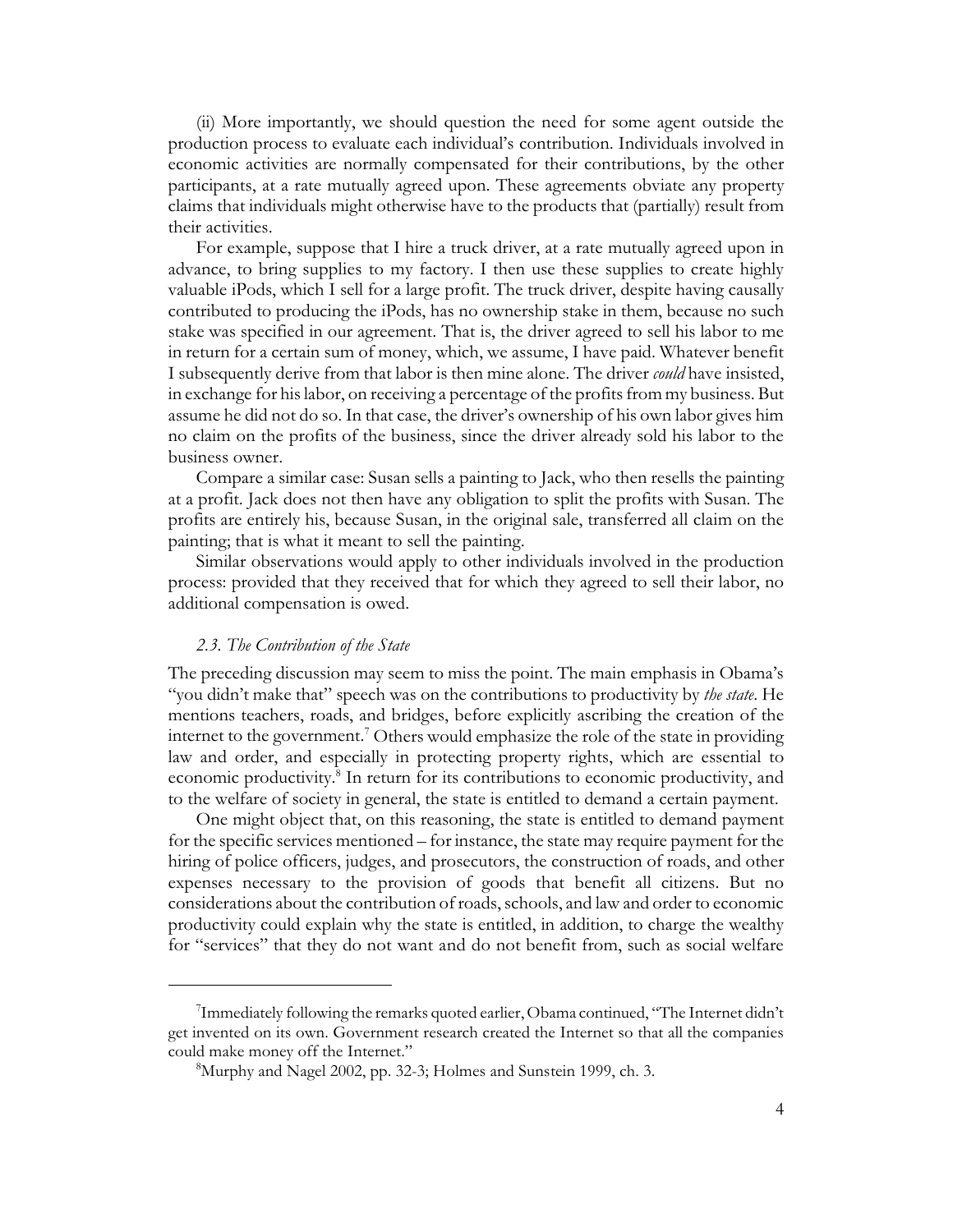(ii) More importantly, we should question the need for some agent outside the production process to evaluate each individual's contribution. Individuals involved in economic activities are normally compensated for their contributions, by the other participants, at a rate mutually agreed upon. These agreements obviate any property claims that individuals might otherwise have to the products that (partially) result from their activities.

For example, suppose that I hire a truck driver, at a rate mutually agreed upon in advance, to bring supplies to my factory. I then use these supplies to create highly valuable iPods, which I sell for a large profit. The truck driver, despite having causally contributed to producing the iPods, has no ownership stake in them, because no such stake was specified in our agreement. That is, the driver agreed to sell his labor to me in return for a certain sum of money, which, we assume, I have paid. Whatever benefit I subsequently derive from that labor is then mine alone. The driver *could* have insisted, in exchange for his labor, on receiving a percentage of the profits from my business. But assume he did not do so. In that case, the driver's ownership of his own labor gives him no claim on the profits of the business, since the driver already sold his labor to the business owner.

Compare a similar case: Susan sells a painting to Jack, who then resells the painting at a profit. Jack does not then have any obligation to split the profits with Susan. The profits are entirely his, because Susan, in the original sale, transferred all claim on the painting; that is what it meant to sell the painting.

Similar observations would apply to other individuals involved in the production process: provided that they received that for which they agreed to sell their labor, no additional compensation is owed.

#### *2.3. The Contribution of the State*

The preceding discussion may seem to miss the point. The main emphasis in Obama's "you didn't make that" speech was on the contributions to productivity by *the state*. He mentions teachers, roads, and bridges, before explicitly ascribing the creation of the internet to the government.<sup>7</sup> Others would emphasize the role of the state in providing law and order, and especially in protecting property rights, which are essential to economic productivity.<sup>8</sup> In return for its contributions to economic productivity, and to the welfare of society in general, the state is entitled to demand a certain payment.

One might object that, on this reasoning, the state is entitled to demand payment for the specific services mentioned – for instance, the state may require payment for the hiring of police officers, judges, and prosecutors, the construction of roads, and other expenses necessary to the provision of goods that benefit all citizens. But no considerations about the contribution of roads, schools, and law and order to economic productivity could explain why the state is entitled, in addition, to charge the wealthy for "services" that they do not want and do not benefit from, such as social welfare

 $^7$ Immediately following the remarks quoted earlier, Obama continued, ''The Internet didn't get invented on its own. Government research created the Internet so that all the companies could make money off the Internet."

<sup>8</sup>Murphy and Nagel 2002, pp. 32-3; Holmes and Sunstein 1999, ch. 3.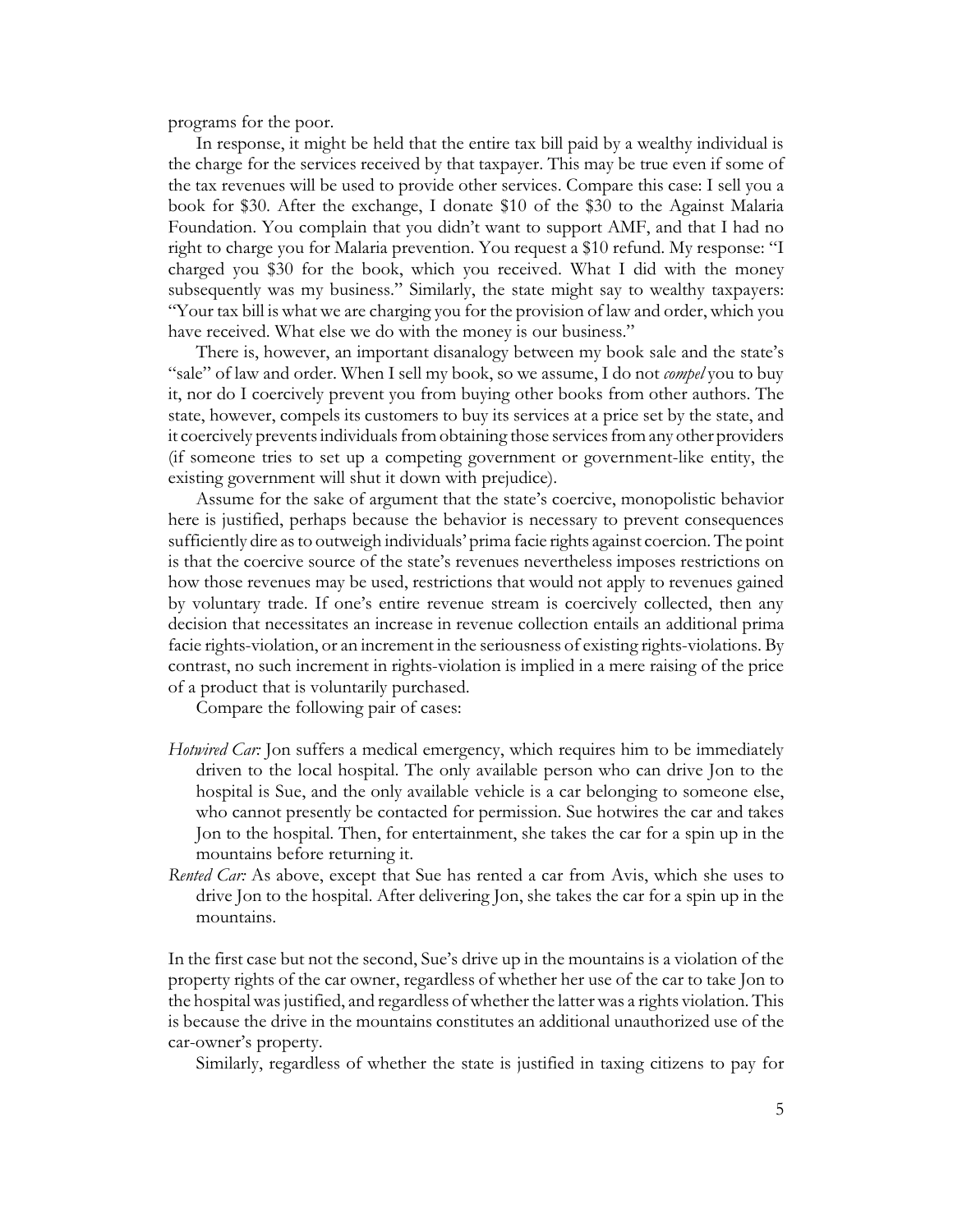programs for the poor.

In response, it might be held that the entire tax bill paid by a wealthy individual is the charge for the services received by that taxpayer. This may be true even if some of the tax revenues will be used to provide other services. Compare this case: I sell you a book for \$30. After the exchange, I donate \$10 of the \$30 to the Against Malaria Foundation. You complain that you didn't want to support AMF, and that I had no right to charge you for Malaria prevention. You request a \$10 refund. My response: "I charged you \$30 for the book, which you received. What I did with the money subsequently was my business." Similarly, the state might say to wealthy taxpayers: "Your tax bill is what we are charging you for the provision of law and order, which you have received. What else we do with the money is our business."

There is, however, an important disanalogy between my book sale and the state's "sale" of law and order. When I sell my book, so we assume, I do not *compel* you to buy it, nor do I coercively prevent you from buying other books from other authors. The state, however, compels its customers to buy its services at a price set by the state, and it coercively prevents individuals from obtaining those services from any other providers (if someone tries to set up a competing government or government-like entity, the existing government will shut it down with prejudice).

Assume for the sake of argument that the state's coercive, monopolistic behavior here is justified, perhaps because the behavior is necessary to prevent consequences sufficiently dire asto outweigh individuals' prima facie rights against coercion. The point is that the coercive source of the state's revenues nevertheless imposes restrictions on how those revenues may be used, restrictions that would not apply to revenues gained by voluntary trade. If one's entire revenue stream is coercively collected, then any decision that necessitates an increase in revenue collection entails an additional prima facie rights-violation, or an increment in the seriousness of existing rights-violations. By contrast, no such increment in rights-violation is implied in a mere raising of the price of a product that is voluntarily purchased.

Compare the following pair of cases:

- *Hotwired Car:* Jon suffers a medical emergency, which requires him to be immediately driven to the local hospital. The only available person who can drive Jon to the hospital is Sue, and the only available vehicle is a car belonging to someone else, who cannot presently be contacted for permission. Sue hotwires the car and takes Jon to the hospital. Then, for entertainment, she takes the car for a spin up in the mountains before returning it.
- *Rented Car:* As above, except that Sue has rented a car from Avis, which she uses to drive Jon to the hospital. After delivering Jon, she takes the car for a spin up in the mountains.

In the first case but not the second, Sue's drive up in the mountains is a violation of the property rights of the car owner, regardless of whether her use of the car to take Jon to the hospital wasjustified, and regardless of whether the latter was a rights violation. This is because the drive in the mountains constitutes an additional unauthorized use of the car-owner's property.

Similarly, regardless of whether the state is justified in taxing citizens to pay for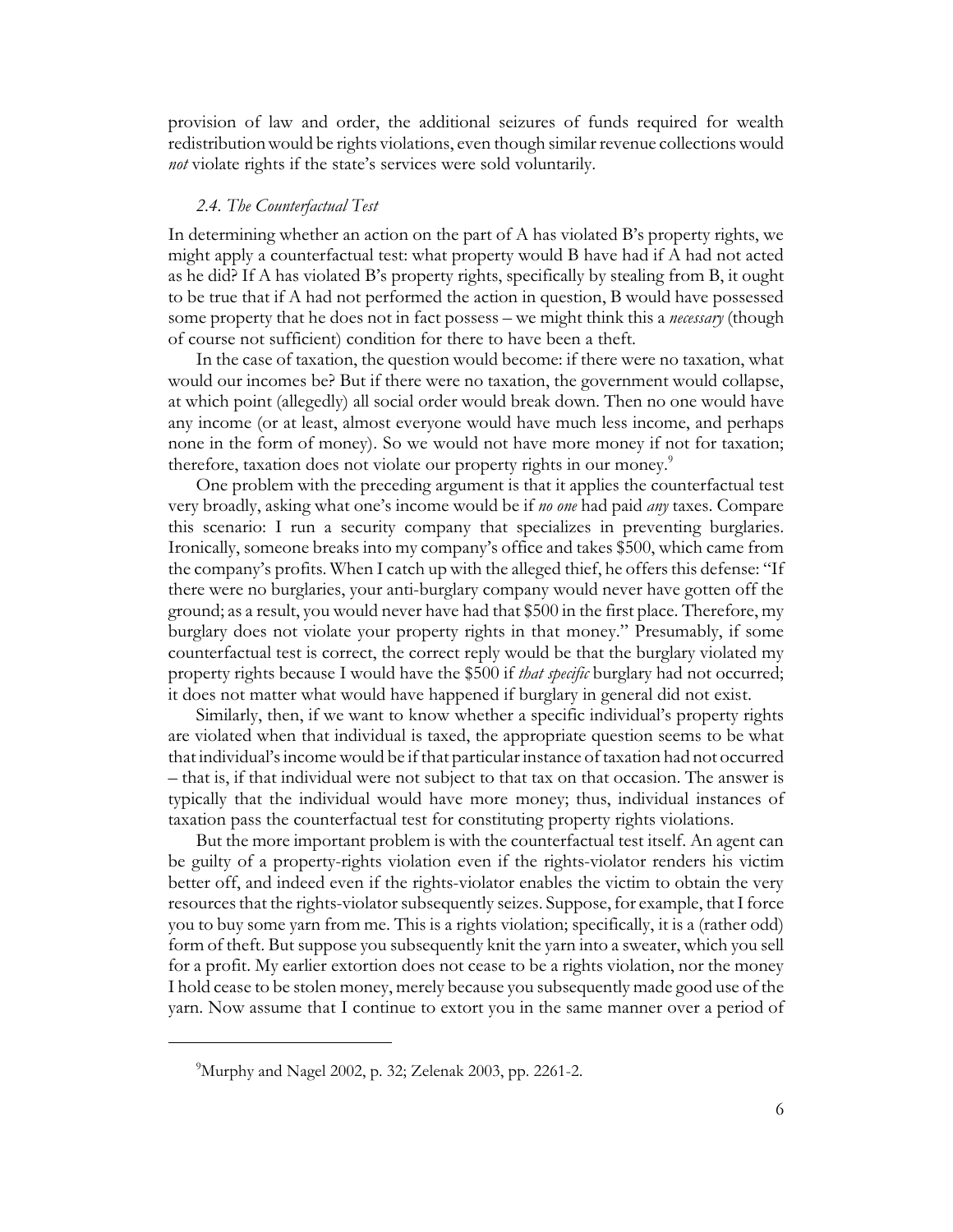provision of law and order, the additional seizures of funds required for wealth redistribution would be rights violations, even though similar revenue collectionswould *not* violate rights if the state's services were sold voluntarily.

#### *2.4. The Counterfactual Test*

In determining whether an action on the part of A has violated B's property rights, we might apply a counterfactual test: what property would B have had if A had not acted as he did? If A has violated B's property rights, specifically by stealing from B, it ought to be true that if A had not performed the action in question, B would have possessed some property that he does not in fact possess – we might think this a *necessary* (though of course not sufficient) condition for there to have been a theft.

In the case of taxation, the question would become: if there were no taxation, what would our incomes be? But if there were no taxation, the government would collapse, at which point (allegedly) all social order would break down. Then no one would have any income (or at least, almost everyone would have much less income, and perhaps none in the form of money). So we would not have more money if not for taxation; therefore, taxation does not violate our property rights in our money.<sup>9</sup>

One problem with the preceding argument is that it applies the counterfactual test very broadly, asking what one's income would be if *no one* had paid *any* taxes. Compare this scenario: I run a security company that specializes in preventing burglaries. Ironically, someone breaks into my company's office and takes \$500, which came from the company's profits. When I catch up with the alleged thief, he offersthis defense: "If there were no burglaries, your anti-burglary company would never have gotten off the ground; as a result, you would never have had that \$500 in the first place. Therefore, my burglary does not violate your property rights in that money." Presumably, if some counterfactual test is correct, the correct reply would be that the burglary violated my property rights because I would have the \$500 if *that specific* burglary had not occurred; it does not matter what would have happened if burglary in general did not exist.

Similarly, then, if we want to know whether a specific individual's property rights are violated when that individual is taxed, the appropriate question seems to be what that individual'sincome would be if that particular instance of taxation had not occurred – that is, if that individual were not subject to that tax on that occasion. The answer is typically that the individual would have more money; thus, individual instances of taxation pass the counterfactual test for constituting property rights violations.

But the more important problem is with the counterfactual test itself. An agent can be guilty of a property-rights violation even if the rights-violator renders his victim better off, and indeed even if the rights-violator enables the victim to obtain the very resources that the rights-violator subsequently seizes. Suppose, for example, that I force you to buy some yarn from me. This is a rights violation; specifically, it is a (rather odd) form of theft. But suppose you subsequently knit the yarn into a sweater, which you sell for a profit. My earlier extortion does not cease to be a rights violation, nor the money I hold cease to be stolen money, merely because you subsequently made good use of the yarn. Now assume that I continue to extort you in the same manner over a period of

<sup>&</sup>lt;sup>9</sup>Murphy and Nagel 2002, p. 32; Zelenak 2003, pp. 2261-2.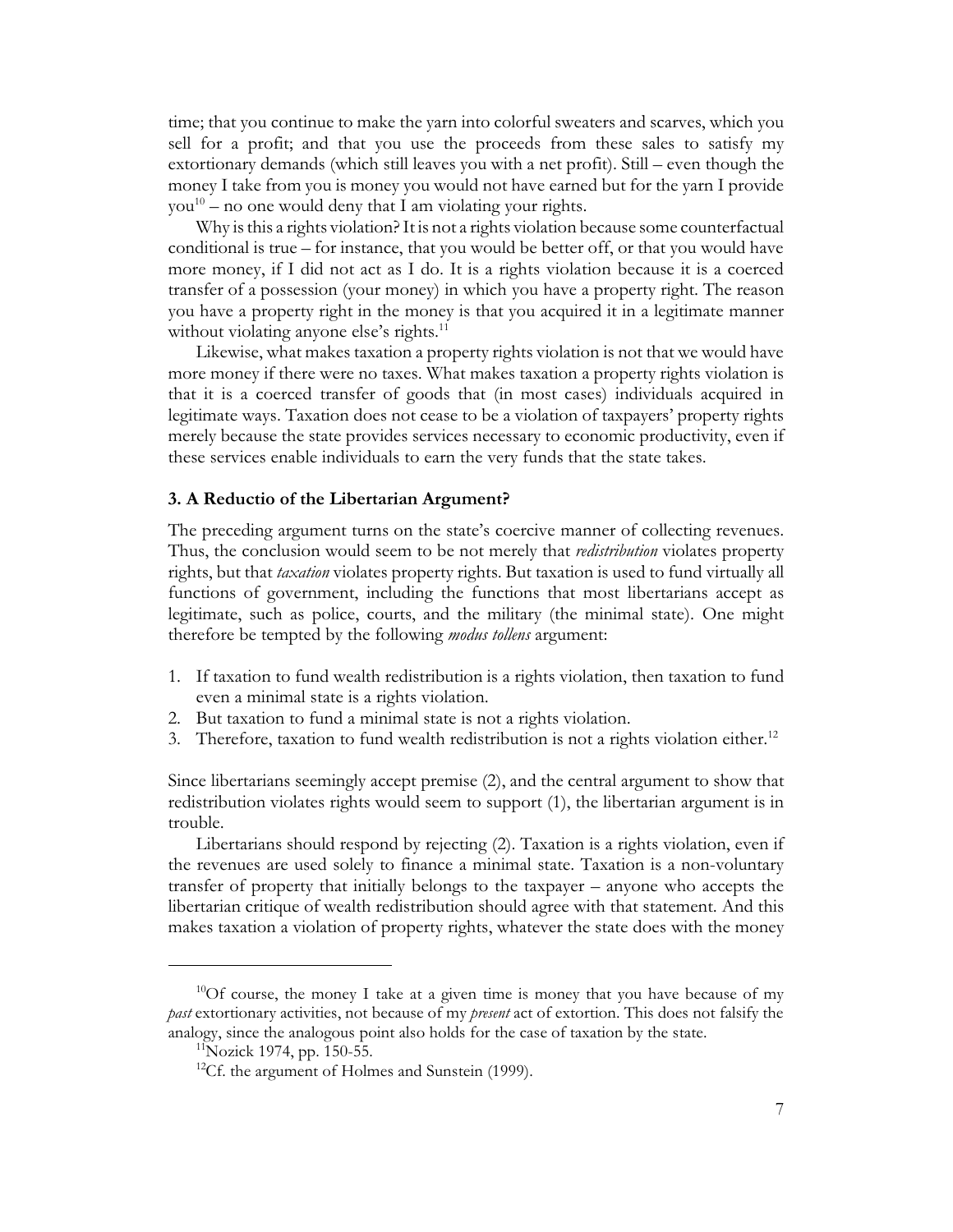time; that you continue to make the yarn into colorful sweaters and scarves, which you sell for a profit; and that you use the proceeds from these sales to satisfy my extortionary demands (which still leaves you with a net profit). Still – even though the money I take from you is money you would not have earned but for the yarn I provide  $you<sup>10</sup>$  – no one would deny that I am violating your rights.

Why is this a rights violation? It is not a rights violation because some counterfactual conditional is true – for instance, that you would be better off, or that you would have more money, if I did not act as I do. It is a rights violation because it is a coerced transfer of a possession (your money) in which you have a property right. The reason you have a property right in the money is that you acquired it in a legitimate manner without violating anyone else's rights.<sup>11</sup>

Likewise, what makes taxation a property rights violation is not that we would have more money if there were no taxes. What makes taxation a property rights violation is that it is a coerced transfer of goods that (in most cases) individuals acquired in legitimate ways. Taxation does not cease to be a violation of taxpayers' property rights merely because the state provides services necessary to economic productivity, even if these services enable individuals to earn the very funds that the state takes.

#### **3. A Reductio of the Libertarian Argument?**

The preceding argument turns on the state's coercive manner of collecting revenues. Thus, the conclusion would seem to be not merely that *redistribution* violates property rights, but that *taxation* violates property rights. But taxation is used to fund virtually all functions of government, including the functions that most libertarians accept as legitimate, such as police, courts, and the military (the minimal state). One might therefore be tempted by the following *modus tollens* argument:

- 1. If taxation to fund wealth redistribution is a rights violation, then taxation to fund even a minimal state is a rights violation.
- 2. But taxation to fund a minimal state is not a rights violation.
- 3. Therefore, taxation to fund wealth redistribution is not a rights violation either.<sup>12</sup>

Since libertarians seemingly accept premise (2), and the central argument to show that redistribution violates rights would seem to support (1), the libertarian argument is in trouble.

Libertarians should respond by rejecting (2). Taxation is a rights violation, even if the revenues are used solely to finance a minimal state. Taxation is a non-voluntary transfer of property that initially belongs to the taxpayer – anyone who accepts the libertarian critique of wealth redistribution should agree with that statement. And this makes taxation a violation of property rights, whatever the state does with the money

<sup>&</sup>lt;sup>10</sup>Of course, the money I take at a given time is money that you have because of my *past* extortionary activities, not because of my *present* act of extortion. This does not falsify the analogy, since the analogous point also holds for the case of taxation by the state.

 $11$ Nozick 1974, pp. 150-55.

<sup>&</sup>lt;sup>12</sup>Cf. the argument of Holmes and Sunstein (1999).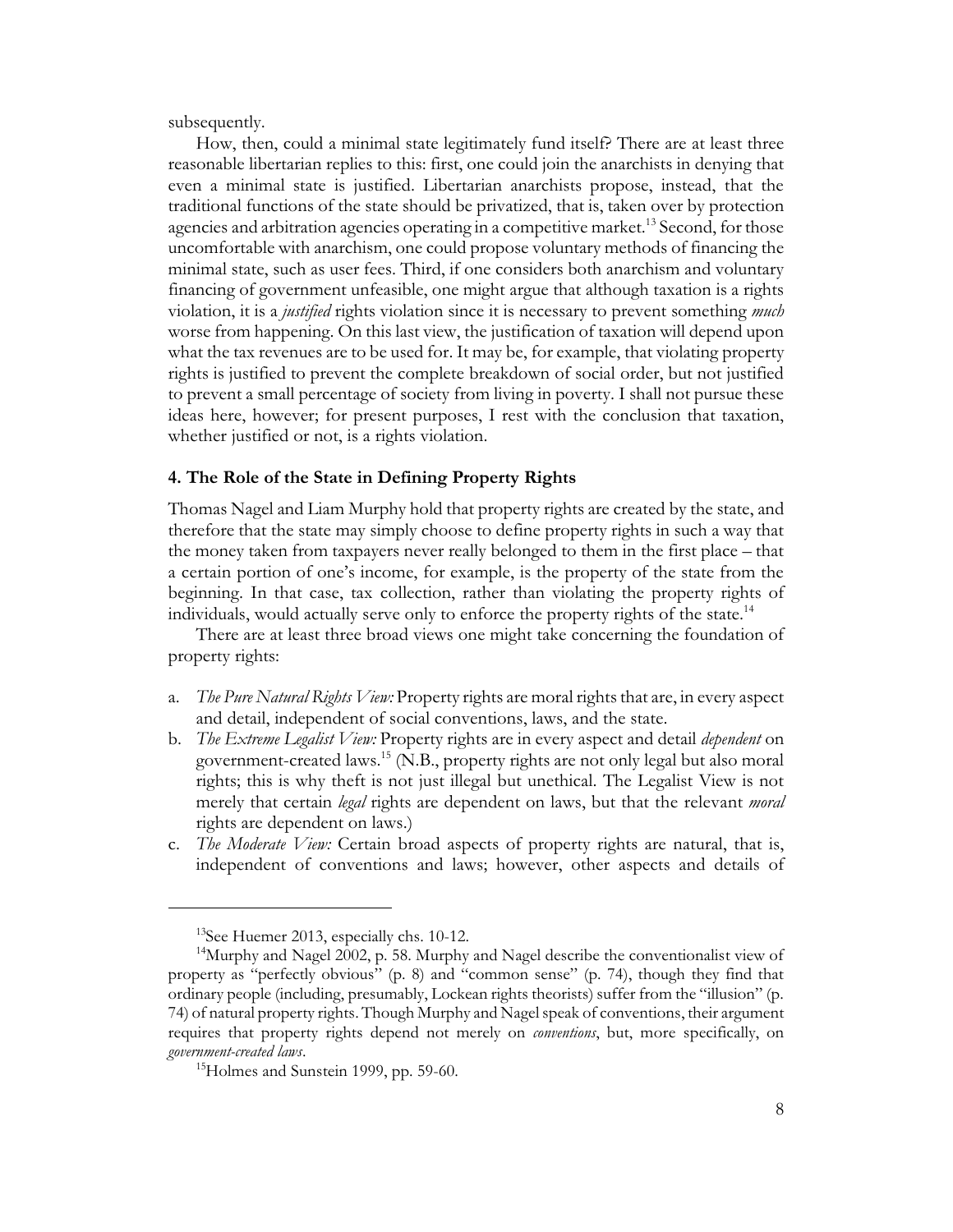subsequently.

How, then, could a minimal state legitimately fund itself? There are at least three reasonable libertarian replies to this: first, one could join the anarchists in denying that even a minimal state is justified. Libertarian anarchists propose, instead, that the traditional functions of the state should be privatized, that is, taken over by protection agencies and arbitration agencies operating in a competitive market.<sup>13</sup> Second, for those uncomfortable with anarchism, one could propose voluntary methods of financing the minimal state, such as user fees. Third, if one considers both anarchism and voluntary financing of government unfeasible, one might argue that although taxation is a rights violation, it is a *justified* rights violation since it is necessary to prevent something *much* worse from happening. On this last view, the justification of taxation will depend upon what the tax revenues are to be used for. It may be, for example, that violating property rights is justified to prevent the complete breakdown of social order, but not justified to prevent a small percentage of society from living in poverty. I shall not pursue these ideas here, however; for present purposes, I rest with the conclusion that taxation, whether justified or not, is a rights violation.

## **4. The Role of the State in Defining Property Rights**

Thomas Nagel and Liam Murphy hold that property rights are created by the state, and therefore that the state may simply choose to define property rights in such a way that the money taken from taxpayers never really belonged to them in the first place – that a certain portion of one's income, for example, is the property of the state from the beginning. In that case, tax collection, rather than violating the property rights of individuals, would actually serve only to enforce the property rights of the state.<sup>14</sup>

There are at least three broad views one might take concerning the foundation of property rights:

- a. *The Pure Natural Rights View: Property rights are moral rights that are, in every aspect* and detail, independent of social conventions, laws, and the state.
- b. *The Extreme Legalist View:* Property rights are in every aspect and detail *dependent* on government-created laws. <sup>15</sup> (N.B., property rights are not only legal but also moral rights; this is why theft is not just illegal but unethical. The Legalist View is not merely that certain *legal* rights are dependent on laws, but that the relevant *moral* rights are dependent on laws.)
- c. *The Moderate View:* Certain broad aspects of property rights are natural, that is, independent of conventions and laws; however, other aspects and details of

<sup>&</sup>lt;sup>13</sup>See Huemer 2013, especially chs. 10-12.

<sup>&</sup>lt;sup>14</sup>Murphy and Nagel 2002, p. 58. Murphy and Nagel describe the conventionalist view of property as "perfectly obvious" (p. 8) and "common sense" (p. 74), though they find that ordinary people (including, presumably, Lockean rights theorists) suffer from the "illusion" (p. 74) of natural property rights. Though Murphy and Nagel speak of conventions, their argument requires that property rights depend not merely on *conventions*, but, more specifically, on *government-created laws*.

<sup>&</sup>lt;sup>15</sup>Holmes and Sunstein 1999, pp. 59-60.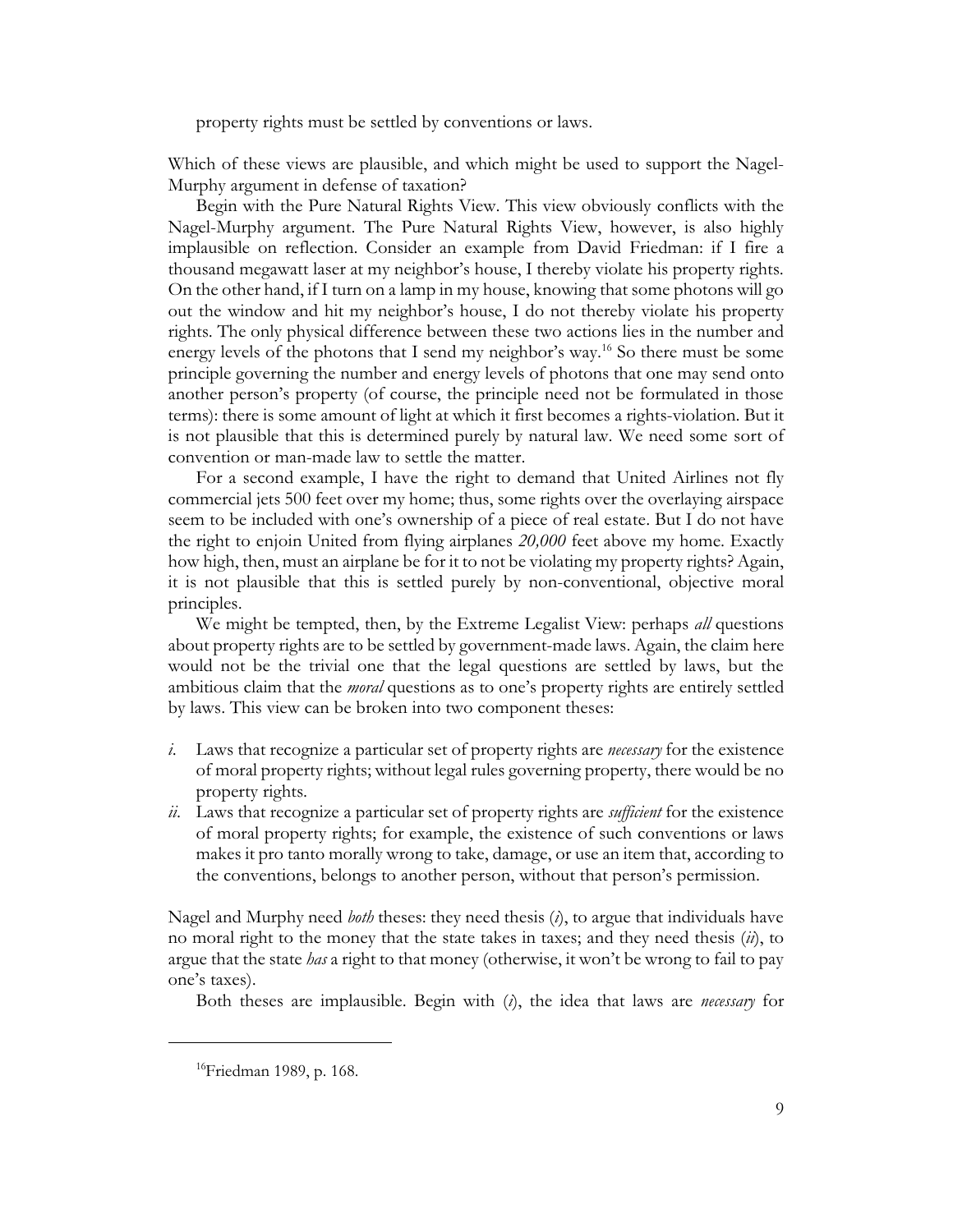property rights must be settled by conventions or laws.

Which of these views are plausible, and which might be used to support the Nagel-Murphy argument in defense of taxation?

Begin with the Pure Natural Rights View. This view obviously conflicts with the Nagel-Murphy argument. The Pure Natural Rights View, however, is also highly implausible on reflection. Consider an example from David Friedman: if I fire a thousand megawatt laser at my neighbor's house, I thereby violate his property rights. On the other hand, if I turn on a lamp in my house, knowing that some photons will go out the window and hit my neighbor's house, I do not thereby violate his property rights. The only physical difference between these two actions lies in the number and energy levels of the photons that I send my neighbor's way.<sup>16</sup> So there must be some principle governing the number and energy levels of photons that one may send onto another person's property (of course, the principle need not be formulated in those terms): there is some amount of light at which it first becomes a rights-violation. But it is not plausible that this is determined purely by natural law. We need some sort of convention or man-made law to settle the matter.

For a second example, I have the right to demand that United Airlines not fly commercial jets 500 feet over my home; thus, some rights over the overlaying airspace seem to be included with one's ownership of a piece of real estate. But I do not have the right to enjoin United from flying airplanes *20,000* feet above my home. Exactly how high, then, must an airplane be for it to not be violating my property rights? Again, it is not plausible that this is settled purely by non-conventional, objective moral principles.

We might be tempted, then, by the Extreme Legalist View: perhaps *all* questions about property rights are to be settled by government-made laws. Again, the claim here would not be the trivial one that the legal questions are settled by laws, but the ambitious claim that the *moral* questions as to one's property rights are entirely settled by laws. This view can be broken into two component theses:

- *i*. Laws that recognize a particular set of property rights are *necessary* for the existence of moral property rights; without legal rules governing property, there would be no property rights.
- *ii*. Laws that recognize a particular set of property rights are *sufficient* for the existence of moral property rights; for example, the existence of such conventions or laws makes it pro tanto morally wrong to take, damage, or use an item that, according to the conventions, belongs to another person, without that person's permission.

Nagel and Murphy need *both* theses: they need thesis (*i*), to argue that individuals have no moral right to the money that the state takes in taxes; and they need thesis (*ii*), to argue that the state *has* a right to that money (otherwise, it won't be wrong to fail to pay one's taxes).

Both theses are implausible. Begin with (*i*), the idea that laws are *necessary* for

 $^{16}$ Friedman 1989, p. 168.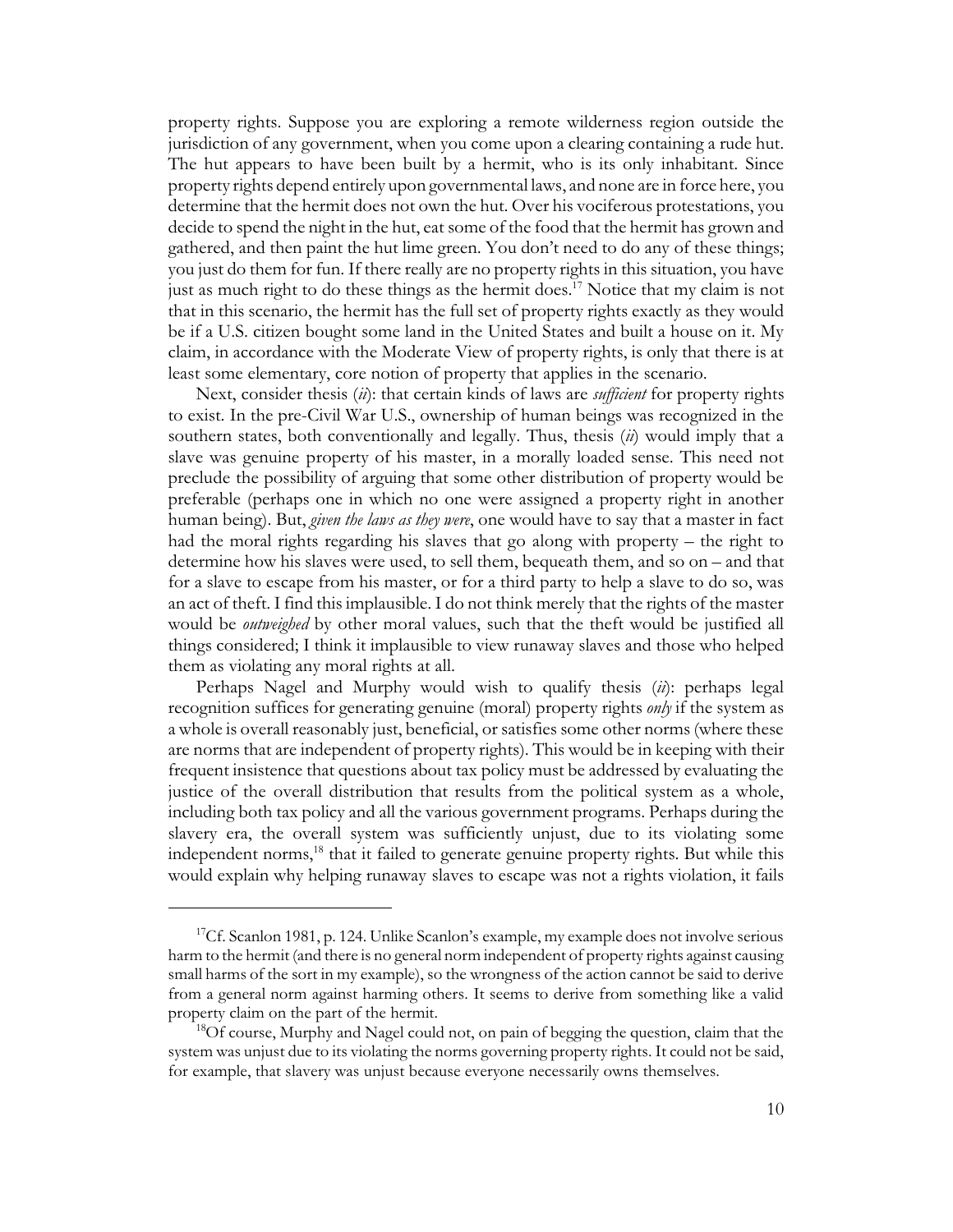property rights. Suppose you are exploring a remote wilderness region outside the jurisdiction of any government, when you come upon a clearing containing a rude hut. The hut appears to have been built by a hermit, who is its only inhabitant. Since property rights depend entirely upon governmental laws, and none are in force here, you determine that the hermit does not own the hut. Over his vociferous protestations, you decide to spend the night in the hut, eat some of the food that the hermit has grown and gathered, and then paint the hut lime green. You don't need to do any of these things; you just do them for fun. If there really are no property rightsin thissituation, you have just as much right to do these things as the hermit does. 17 Notice that my claim is not that in this scenario, the hermit has the full set of property rights exactly as they would be if a U.S. citizen bought some land in the United States and built a house on it. My claim, in accordance with the Moderate View of property rights, is only that there is at least some elementary, core notion of property that applies in the scenario.

Next, consider thesis (*ii*): that certain kinds of laws are *sufficient* for property rights to exist. In the pre-Civil War U.S., ownership of human beings was recognized in the southern states, both conventionally and legally. Thus, thesis (*ii*) would imply that a slave was genuine property of his master, in a morally loaded sense. This need not preclude the possibility of arguing that some other distribution of property would be preferable (perhaps one in which no one were assigned a property right in another human being). But, *given the laws as they were*, one would have to say that a master in fact had the moral rights regarding his slaves that go along with property – the right to determine how his slaves were used, to sell them, bequeath them, and so on – and that for a slave to escape from his master, or for a third party to help a slave to do so, was an act of theft. I find thisimplausible. I do not think merely that the rights of the master would be *outweighed* by other moral values, such that the theft would be justified all things considered; I think it implausible to view runaway slaves and those who helped them as violating any moral rights at all.

Perhaps Nagel and Murphy would wish to qualify thesis (*ii*): perhaps legal recognition suffices for generating genuine (moral) property rights *only* if the system as a whole is overall reasonably just, beneficial, or satisfies some other norms(where these are norms that are independent of property rights). This would be in keeping with their frequent insistence that questions about tax policy must be addressed by evaluating the justice of the overall distribution that results from the political system as a whole, including both tax policy and all the various government programs. Perhaps during the slavery era, the overall system was sufficiently unjust, due to its violating some independent norms,<sup>18</sup> that it failed to generate genuine property rights. But while this would explain why helping runaway slaves to escape was not a rights violation, it fails

<sup>&</sup>lt;sup>17</sup>Cf. Scanlon 1981, p. 124. Unlike Scanlon's example, my example does not involve serious harm to the hermit (and there is no general norm independent of property rights against causing small harms of the sort in my example), so the wrongness of the action cannot be said to derive from a general norm against harming others. It seems to derive from something like a valid property claim on the part of the hermit.

<sup>&</sup>lt;sup>18</sup>Of course, Murphy and Nagel could not, on pain of begging the question, claim that the system was unjust due to its violating the norms governing property rights. It could not be said, for example, that slavery was unjust because everyone necessarily owns themselves.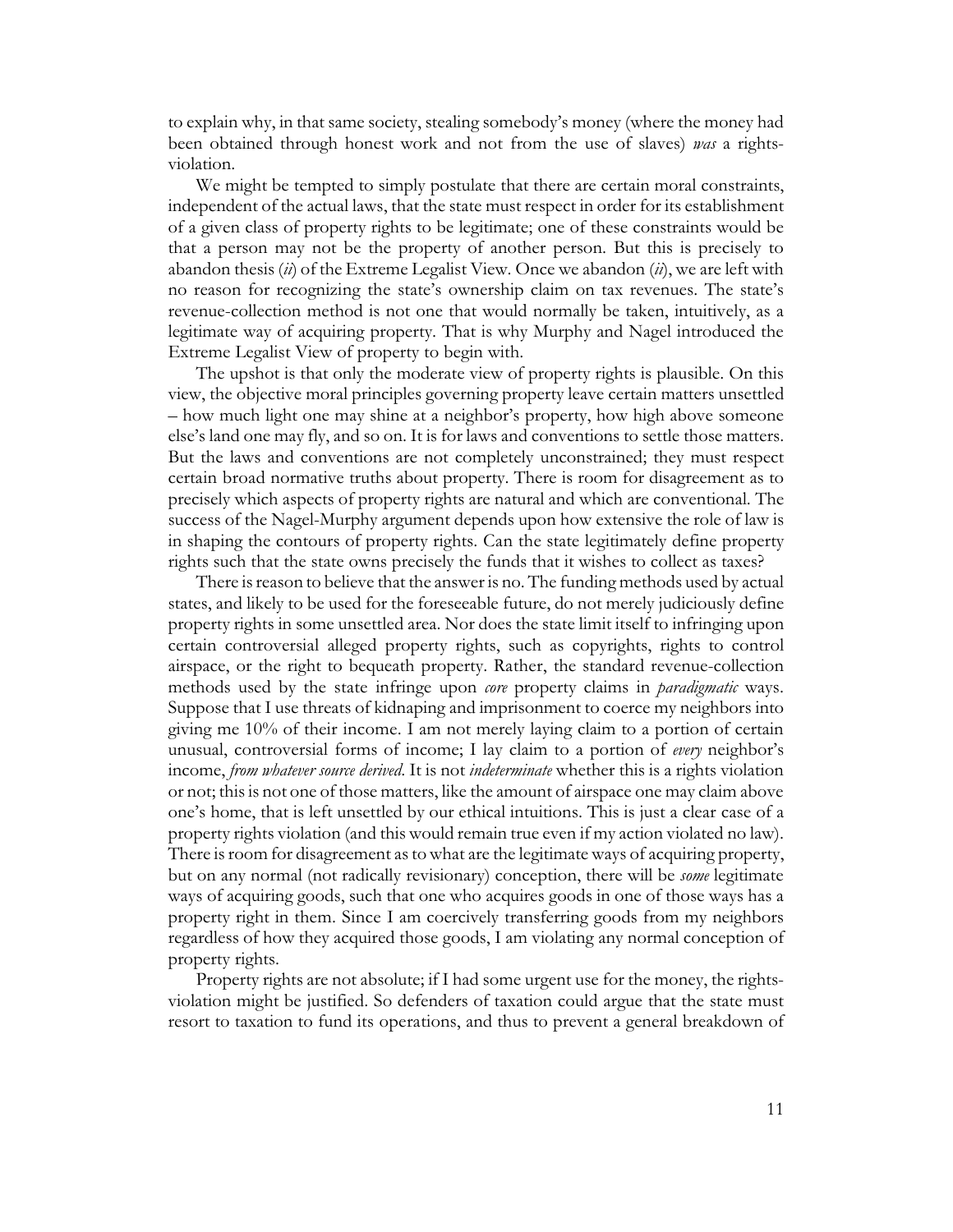to explain why, in that same society, stealing somebody's money (where the money had been obtained through honest work and not from the use of slaves) *was* a rightsviolation.

We might be tempted to simply postulate that there are certain moral constraints, independent of the actual laws, that the state must respect in order for its establishment of a given class of property rights to be legitimate; one of these constraints would be that a person may not be the property of another person. But this is precisely to abandon thesis(*ii*) of the Extreme Legalist View. Once we abandon (*ii*), we are left with no reason for recognizing the state's ownership claim on tax revenues. The state's revenue-collection method is not one that would normally be taken, intuitively, as a legitimate way of acquiring property. That is why Murphy and Nagel introduced the Extreme Legalist View of property to begin with.

The upshot is that only the moderate view of property rights is plausible. On this view, the objective moral principles governing property leave certain matters unsettled – how much light one may shine at a neighbor's property, how high above someone else's land one may fly, and so on. It is for laws and conventions to settle those matters. But the laws and conventions are not completely unconstrained; they must respect certain broad normative truths about property. There is room for disagreement as to precisely which aspects of property rights are natural and which are conventional. The success of the Nagel-Murphy argument depends upon how extensive the role of law is in shaping the contours of property rights. Can the state legitimately define property rights such that the state owns precisely the funds that it wishes to collect as taxes?

There is reason to believe that the answer is no. The funding methods used by actual states, and likely to be used for the foreseeable future, do not merely judiciously define property rights in some unsettled area. Nor does the state limit itself to infringing upon certain controversial alleged property rights, such as copyrights, rights to control airspace, or the right to bequeath property. Rather, the standard revenue-collection methods used by the state infringe upon *core* property claims in *paradigmatic* ways. Suppose that I use threats of kidnaping and imprisonment to coerce my neighbors into giving me 10% of their income. I am not merely laying claim to a portion of certain unusual, controversial forms of income; I lay claim to a portion of *every* neighbor's income, *from whatever source derived*. It is not *indeterminate* whether this is a rights violation or not; thisis not one of those matters, like the amount of airspace one may claim above one's home, that is left unsettled by our ethical intuitions. This is just a clear case of a property rights violation (and this would remain true even if my action violated no law). There is room for disagreement as to what are the legitimate ways of acquiring property, but on any normal (not radically revisionary) conception, there will be *some* legitimate ways of acquiring goods, such that one who acquires goods in one of those ways has a property right in them. Since I am coercively transferring goods from my neighbors regardless of how they acquired those goods, I am violating any normal conception of property rights.

Property rights are not absolute; if I had some urgent use for the money, the rightsviolation might be justified. So defenders of taxation could argue that the state must resort to taxation to fund its operations, and thus to prevent a general breakdown of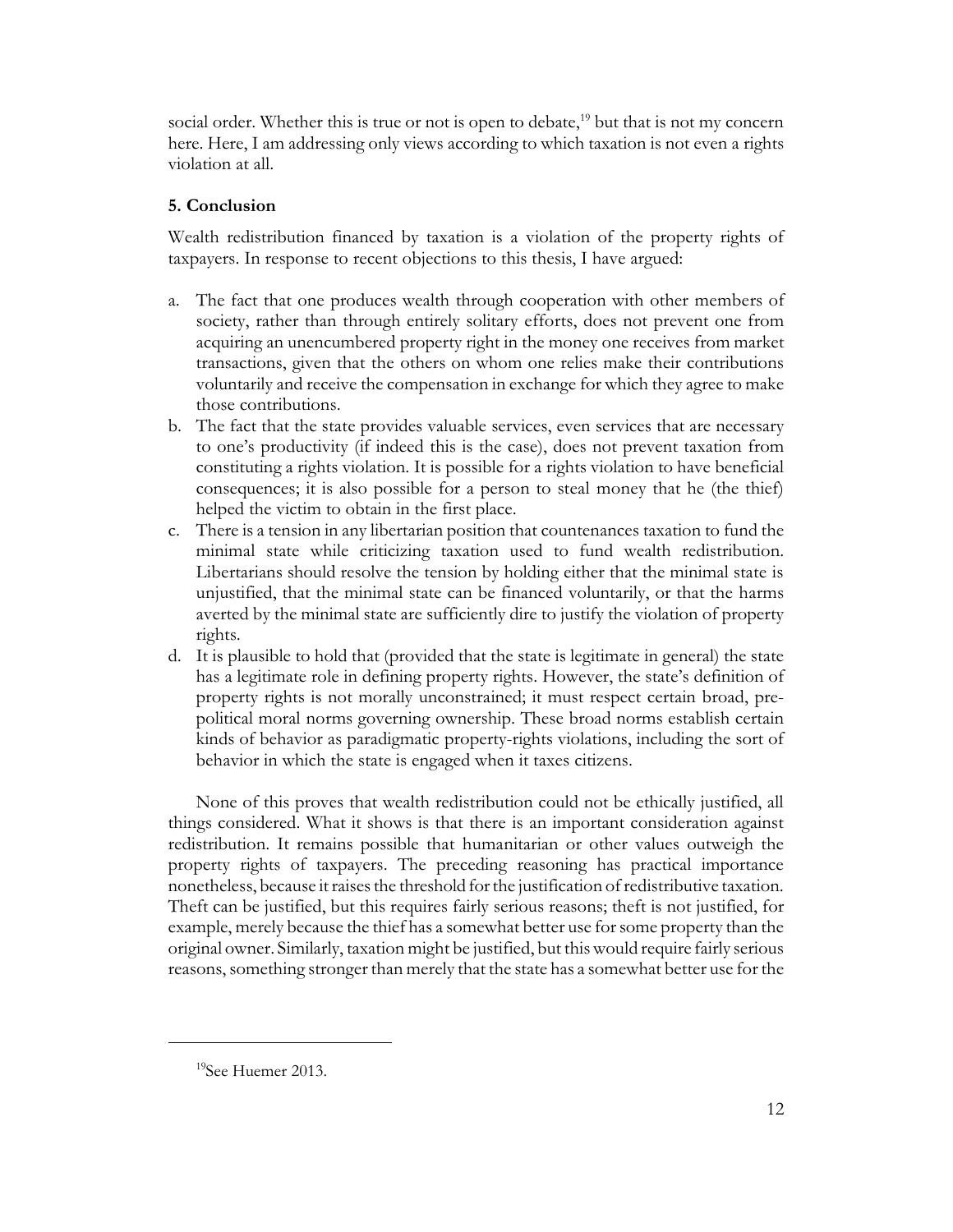social order. Whether this is true or not is open to debate, $19$  but that is not my concern here. Here, I am addressing only views according to which taxation is not even a rights violation at all.

## **5. Conclusion**

Wealth redistribution financed by taxation is a violation of the property rights of taxpayers. In response to recent objections to this thesis, I have argued:

- a. The fact that one produces wealth through cooperation with other members of society, rather than through entirely solitary efforts, does not prevent one from acquiring an unencumbered property right in the money one receives from market transactions, given that the others on whom one relies make their contributions voluntarily and receive the compensation in exchange for which they agree to make those contributions.
- b. The fact that the state provides valuable services, even services that are necessary to one's productivity (if indeed this is the case), does not prevent taxation from constituting a rights violation. It is possible for a rights violation to have beneficial consequences; it is also possible for a person to steal money that he (the thief) helped the victim to obtain in the first place.
- c. There is a tension in any libertarian position that countenances taxation to fund the minimal state while criticizing taxation used to fund wealth redistribution. Libertarians should resolve the tension by holding either that the minimal state is unjustified, that the minimal state can be financed voluntarily, or that the harms averted by the minimal state are sufficiently dire to justify the violation of property rights.
- d. It is plausible to hold that (provided that the state is legitimate in general) the state has a legitimate role in defining property rights. However, the state's definition of property rights is not morally unconstrained; it must respect certain broad, prepolitical moral norms governing ownership. These broad norms establish certain kinds of behavior as paradigmatic property-rights violations, including the sort of behavior in which the state is engaged when it taxes citizens.

None of this proves that wealth redistribution could not be ethically justified, all things considered. What it shows is that there is an important consideration against redistribution. It remains possible that humanitarian or other values outweigh the property rights of taxpayers. The preceding reasoning has practical importance nonetheless, because it raises the threshold for the justification of redistributive taxation. Theft can be justified, but this requires fairly serious reasons; theft is not justified, for example, merely because the thief has a somewhat better use for some property than the original owner. Similarly, taxation might be justified, but thiswould require fairly serious reasons, something stronger than merely that the state has a somewhat better use for the

<sup>19</sup> See Huemer 2013.